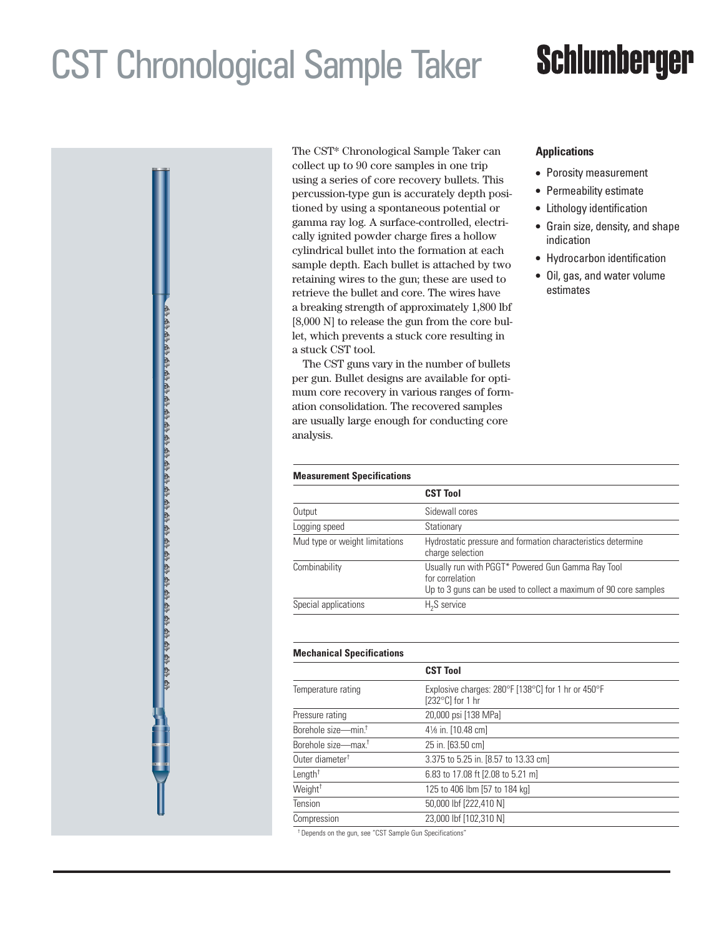## CST Chronological Sample Taker

# **Schlumberger**

The CST\* Chronological Sample Taker can collect up to 90 core samples in one trip using a series of core recovery bullets. This percussion-type gun is accurately depth positioned by using a spontaneous potential or gamma ray log. A surface-controlled, electrically ignited powder charge fires a hollow cylindrical bullet into the formation at each sample depth. Each bullet is attached by two retaining wires to the gun; these are used to retrieve the bullet and core. The wires have a breaking strength of approximately 1,800 lbf [8,000 N] to release the gun from the core bullet, which prevents a stuck core resulting in a stuck CST tool.

The CST guns vary in the number of bullets per gun. Bullet designs are available for optimum core recovery in various ranges of formation consolidation. The recovered samples are usually large enough for conducting core analysis.

### **Applications**

- Porosity measurement
- Permeability estimate
- Lithology identification
- Grain size, density, and shape indication
- Hydrocarbon identification
- Oil, gas, and water volume estimates

| <b>Measurement Specifications</b> |                                                                                                                                          |  |  |  |
|-----------------------------------|------------------------------------------------------------------------------------------------------------------------------------------|--|--|--|
|                                   | <b>CST Tool</b>                                                                                                                          |  |  |  |
| Output                            | Sidewall cores                                                                                                                           |  |  |  |
| Logging speed                     | Stationary                                                                                                                               |  |  |  |
| Mud type or weight limitations    | Hydrostatic pressure and formation characteristics determine<br>charge selection                                                         |  |  |  |
| Combinability                     | Usually run with PGGT* Powered Gun Gamma Ray Tool<br>for correlation<br>Up to 3 guns can be used to collect a maximum of 90 core samples |  |  |  |
| Special applications              | H <sub>2</sub> S service                                                                                                                 |  |  |  |

### **Mechanical Specifications**

|                                 | <b>CST Tool</b>                                                                 |  |  |  |  |  |
|---------------------------------|---------------------------------------------------------------------------------|--|--|--|--|--|
| Temperature rating              | Explosive charges: 280°F [138°C] for 1 hr or 450°F<br>$[232^{\circ}C]$ for 1 hr |  |  |  |  |  |
| Pressure rating                 | 20,000 psi [138 MPa]                                                            |  |  |  |  |  |
| Borehole size-min. <sup>†</sup> | 41/ <sub>8</sub> in. [10.48 cm]                                                 |  |  |  |  |  |
| Borehole size-max. <sup>†</sup> | 25 in. [63.50 cm]                                                               |  |  |  |  |  |
| Outer diameter <sup>†</sup>     | 3.375 to 5.25 in. [8.57 to 13.33 cm]                                            |  |  |  |  |  |
| Length <sup>+</sup>             | 6.83 to 17.08 ft [2.08 to 5.21 m]                                               |  |  |  |  |  |
| Weight <sup>+</sup>             | 125 to 406 lbm [57 to 184 kg]                                                   |  |  |  |  |  |
| Tension                         | 50,000 lbf [222,410 N]                                                          |  |  |  |  |  |
| Compression                     | 23,000 lbf [102,310 N]                                                          |  |  |  |  |  |
|                                 |                                                                                 |  |  |  |  |  |

† Depends on the gun, see "CST Sample Gun Specifications"

# ኑል የሐሴ ልጉል የስራ ስራ ልጉል አስተል ልጉል አስተል ልጉል አልተል አስተል ስራ ስራ ልጉል አስተል አስተል አስተል አ